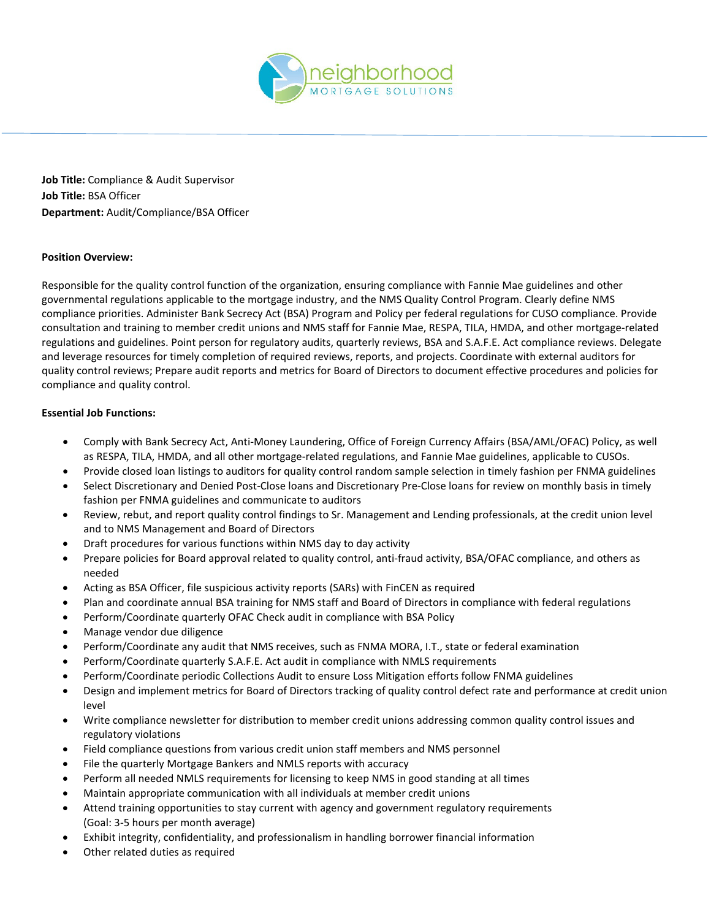

**Job Title:** Compliance & Audit Supervisor **Job Title:** BSA Officer **Department:** Audit/Compliance/BSA Officer

## **Position Overview:**

Responsible for the quality control function of the organization, ensuring compliance with Fannie Mae guidelines and other governmental regulations applicable to the mortgage industry, and the NMS Quality Control Program. Clearly define NMS compliance priorities. Administer Bank Secrecy Act (BSA) Program and Policy per federal regulations for CUSO compliance. Provide consultation and training to member credit unions and NMS staff for Fannie Mae, RESPA, TILA, HMDA, and other mortgage-related regulations and guidelines. Point person for regulatory audits, quarterly reviews, BSA and S.A.F.E. Act compliance reviews. Delegate and leverage resources for timely completion of required reviews, reports, and projects. Coordinate with external auditors for quality control reviews; Prepare audit reports and metrics for Board of Directors to document effective procedures and policies for compliance and quality control.

## **Essential Job Functions:**

- Comply with Bank Secrecy Act, Anti-Money Laundering, Office of Foreign Currency Affairs (BSA/AML/OFAC) Policy, as well as RESPA, TILA, HMDA, and all other mortgage-related regulations, and Fannie Mae guidelines, applicable to CUSOs.
- Provide closed loan listings to auditors for quality control random sample selection in timely fashion per FNMA guidelines
- Select Discretionary and Denied Post-Close loans and Discretionary Pre-Close loans for review on monthly basis in timely fashion per FNMA guidelines and communicate to auditors
- Review, rebut, and report quality control findings to Sr. Management and Lending professionals, at the credit union level and to NMS Management and Board of Directors
- Draft procedures for various functions within NMS day to day activity
- Prepare policies for Board approval related to quality control, anti-fraud activity, BSA/OFAC compliance, and others as needed
- Acting as BSA Officer, file suspicious activity reports (SARs) with FinCEN as required
- Plan and coordinate annual BSA training for NMS staff and Board of Directors in compliance with federal regulations
- Perform/Coordinate quarterly OFAC Check audit in compliance with BSA Policy
- Manage vendor due diligence
- Perform/Coordinate any audit that NMS receives, such as FNMA MORA, I.T., state or federal examination
- Perform/Coordinate quarterly S.A.F.E. Act audit in compliance with NMLS requirements
- Perform/Coordinate periodic Collections Audit to ensure Loss Mitigation efforts follow FNMA guidelines
- Design and implement metrics for Board of Directors tracking of quality control defect rate and performance at credit union level
- Write compliance newsletter for distribution to member credit unions addressing common quality control issues and regulatory violations
- Field compliance questions from various credit union staff members and NMS personnel
- File the quarterly Mortgage Bankers and NMLS reports with accuracy
- Perform all needed NMLS requirements for licensing to keep NMS in good standing at all times
- Maintain appropriate communication with all individuals at member credit unions
- Attend training opportunities to stay current with agency and government regulatory requirements (Goal: 3-5 hours per month average)
- Exhibit integrity, confidentiality, and professionalism in handling borrower financial information
- Other related duties as required